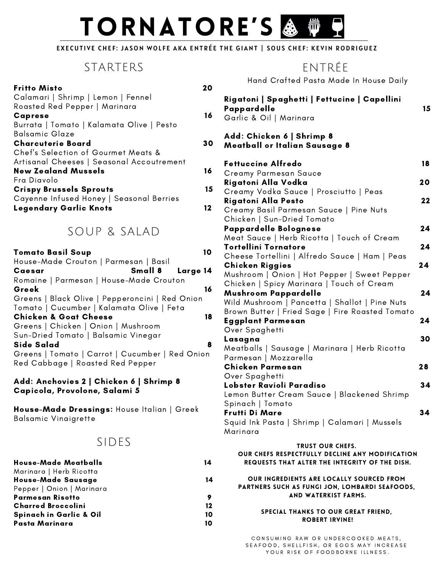# TORNATORE'S & 櫛

#### EXECUTIVE CHEF: JASON WOLFE AKA ENTRÉE THE GIANT | SOUS CHEF: KEVIN RODRIGUEZ

# STARTERS

| <b>Fritto Misto</b>                       |    |
|-------------------------------------------|----|
| Calamari   Shrimp   Lemon   Fennel        |    |
| Roasted Red Pepper   Marinara             |    |
| <b>Caprese</b>                            | 16 |
| Burrata   Tomato   Kalamata Olive   Pesto |    |
| Balsamic Glaze                            |    |
| <b>Charcuterie Board</b>                  | 30 |
| Chef's Selection of Gourmet Meats &       |    |
| Artisanal Cheeses   Seasonal Accoutrement |    |
| <b>New Zealand Mussels</b>                | 16 |
| Fra Diavolo                               |    |
| <b>Crispy Brussels Sprouts</b>            | 15 |
| Cayenne Infused Honey   Seasonal Berries  |    |
| <b>Legendary Garlic Knots</b>             |    |

# SOUP & SALAD

| <b>Tomato Basil Soup</b>                        |    |
|-------------------------------------------------|----|
| House-Made Crouton   Parmesan   Basil           |    |
| Small 8 Large 14<br>Caesar                      |    |
| Romaine   Parmesan   House-Made Crouton         |    |
| Greek                                           | 16 |
| Greens   Black Olive   Pepperoncini   Red Onion |    |
| Tomato   Cucumber   Kalamata Olive   Feta       |    |
| <b>Chicken &amp; Goat Cheese</b>                | 18 |
| Greens   Chicken   Onion   Mushroom             |    |
| Sun-Dried Tomato   Balsamic Vinegar             |    |
| Side Salad                                      | 8  |
| Greens   Tomato   Carrot   Cucumber   Red Onion |    |
| Red Cabbage   Roasted Red Pepper                |    |
|                                                 |    |

#### Add: Anchovies 2 | Chicken 6 | Shrimp 8 Capicola, Provolone, Salami 5

House-Made Dressings: House Italian | Greek Balsamic Vinaigrette

# SIDES

| <b>House-Made Meatballs</b>        | 14 |
|------------------------------------|----|
| Marinara   Herb Ricotta            |    |
| House-Made Sausage                 | 14 |
| Pepper   Onion   Marinara          |    |
| Parmesan Risotto                   |    |
| <b>Charred Broccolini</b>          | 12 |
| <b>Spinach in Garlic &amp; Oil</b> | 10 |
| Pasta Marinara                     | 10 |

# ENTRÉE

Hand Crafted Pasta Made In House Daily

| Rigatoni   Spaghetti   Fettucine   Capellini<br>Pappardelle<br>Garlic & Oil   Marinara                                       | 15 |
|------------------------------------------------------------------------------------------------------------------------------|----|
| Add: Chicken 6   Shrimp 8<br>Meatball or Italian Sausage 8                                                                   |    |
| <b>Fettuccine Alfredo</b>                                                                                                    | 18 |
| Creamy Parmesan Sauce                                                                                                        |    |
| Rigatoni Alla Vodka<br>Creamy Vodka Sauce   Prosciutto   Peas                                                                | 20 |
| Rigatoni Alla Pesto                                                                                                          | 22 |
| Creamy Basil Parmesan Sauce   Pine Nuts                                                                                      |    |
| Chicken   Sun-Dried Tomato                                                                                                   |    |
| Pappardelle Bolognese                                                                                                        | 24 |
| Meat Sauce   Herb Ricotta   Touch of Cream                                                                                   |    |
| <b>Tortellini Tornatore</b><br>Cheese Tortellini   Alfredo Sauce   Ham   Peas                                                | 24 |
| <b>Chicken Riggies</b>                                                                                                       | 24 |
| Mushroom   Onion   Hot Pepper   Sweet Pepper                                                                                 |    |
| Chicken   Spicy Marinara   Touch of Cream                                                                                    |    |
| Mushroom Pappardelle                                                                                                         | 24 |
| Wild Mushroom   Pancetta   Shallot   Pine Nuts                                                                               |    |
| Brown Butter   Fried Sage   Fire Roasted Tomato                                                                              | 24 |
| Eggplant Parmesan<br>Over Spaghetti                                                                                          |    |
| Lasagna                                                                                                                      | 30 |
| Meatballs   Sausage   Marinara   Herb Ricotta                                                                                |    |
| Parmesan   Mozzarella                                                                                                        |    |
| Chicken Parmesan                                                                                                             | 28 |
| Over Spaghetti                                                                                                               |    |
| Lobster Ravioli Paradiso<br>Lemon Butter Cream Sauce   Blackened Shrimp                                                      | 34 |
| Spinach   Tomato                                                                                                             |    |
| Frutti Di Mare                                                                                                               | 34 |
| Squid Ink Pasta   Shrimp   Calamari   Mussels                                                                                |    |
| Marinara                                                                                                                     |    |
| <b>TRUST OUR CHEFS.</b><br>OUR CHEFS RESPECTFULLY DECLINE ANY MODIFICATION<br>REQUESTS THAT ALTER THE INTEGRITY OF THE DISH. |    |
| OUR INGREDIENTS ARE LOCALLY SOURCED FROM<br>PARTNERS SUCH AS FUNGI JON, LOMBARDI SEAFOODS,<br>AND WATERKIST FARMS.           |    |
| SPECIAL THANKS TO OUR GREAT FRIEND,<br><b>ROBERT IRVINE!</b>                                                                 |    |